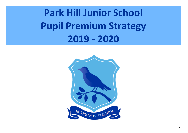**Park Hill Junior School Pupil Premium Strategy 2019 - 2020**

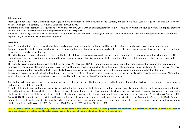#### **Introduction**

From September 2019, schools are being encouraged to move away from full annual reviews of their strategy and consider a multi-year strategy. For instance over a 3 year period. (A longer-term strategy -ESFA & DFE Guidance - 17<sup>th</sup> June 2019)

Therefore, PHJS Pupil Premium Strategy will be reviewed fully every 3 years with an annual light touch. This will focus us on what has begun to work with our pupil premium children and taking into consideration the high crossover with SEND pupils.

We believe that taking a longer view of the support the grant will provide and how this is aligned with our school development plan will aid our planning with recruitment. expenditure, teaching practice and staff development.

#### **Overview**

Pupil Premium funding is received by all schools for pupils whose family income falls below a level that would enable the family to access a range of state benefits. Evidence shows that children from such families and those whose lives might otherwise be in turmoil are less likely to make appropriate age level progress than those from more generous family circumstances.

The school is required to direct funding received for the benefit of those children and to provide support and interventions to children and sometimes their families. This support must close the educational gap between the progress and attainment of disadvantaged children and those that are not disadvantaged, both in our school and against national norms.

This spending is reviewed and scrutinised carefully by our Local Advisory Board (LAB). They are required to make sure that money is spent on support that demonstrably improves the educational attainment and progress of the Pupil Premium children, proportionate to the amount of money spent on particular initiatives. The Local Advisory Board is also required to review the effectiveness of all interventions. We strive to discontinue those that are not delivering appropriate educational benefits. In making provision for socially disadvantaged pupils, we recognise that not all pupils who are in receipt of free school meals will be socially disadvantaged. Also, not all pupils who are socially disadvantaged are registered or qualify for free school meals and/or pupil premium funding.

Our strategy is heavily biased towards the support we can offer families because the barriers created in the learning of pupils for which we receive funding is deeply rooted on the influences of their home life.

At Park Hill Junior School, we therefore recognise and value the huge impact a child's family has on their learning. We also appreciate the challenges many of our families face in their daily lives. Raising children is a challenge for parents from all walks of life. However, parents who experience social and economic disadvantages face particular challenges in trying to meet the needs of their children. Disadvantage has a negative impact upon family functioning and child development (Brooks-Gunn & Duncan, 1997; Evans, 2004). The chronic stress associated with poverty, for example, can impact upon an adult's parenting capacity (Centre for Community Child Health, 2009). Research demonstrates that involvement in high quality early childhood and parenting support programs can alleviate some of the negative impacts of disadvantage on young children and families (Gross et al., 2003; Gross et al., 2009; Melhuish, 2003; Webster-Stratton, 1998).

**2018 -19 Impact Statement – Although Key Stage 2 data shows that we are better than national in writing, reading and combined, our internal data is telling us that we still need to make our interventions tighter so all targeted approaches are fully tracked, monitored and acted upon in a timelier way.**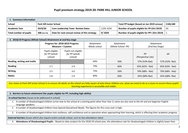### **Pupil premium strategy 2019-20: PARK HILL JUNIOR SCHOOL**

| 1. Summary information |                                |                                              |                                            |                                              |    |  |  |  |
|------------------------|--------------------------------|----------------------------------------------|--------------------------------------------|----------------------------------------------|----|--|--|--|
| <b>School</b>          | <b>Park Hill Junior School</b> |                                              | Total PP budget (based on Jan 2019 census) | £106,580                                     |    |  |  |  |
| <b>Academic Year</b>   | 2019/20                        | <b>Core Leadership Team Review Dates</b>     | 1/20; 4/20                                 | Number of pupils eligible for PP (Oct 2019)  | 65 |  |  |  |
| Total number of pupils | 368 (Oct'19)                   | Date for next annual review of this strategy | 9/2020                                     | Number of pupils eligible for PP+ (Oct 2019) |    |  |  |  |

| 2. 2018/19 Progress (Whole School) Attainment at end Key stage |                                                          |                                                 |     |     |                                   |                                  |                                      |  |
|----------------------------------------------------------------|----------------------------------------------------------|-------------------------------------------------|-----|-----|-----------------------------------|----------------------------------|--------------------------------------|--|
|                                                                | Progress for: 2018-2019 Progress<br>Measure $=$ 3 points |                                                 |     |     | <b>Attainment</b><br>Whole school | Attainment<br>(Whole School- PP) | <b>Attainment</b><br>(End Key Stage) |  |
|                                                                | Pupils eligible<br>for PP (whole<br>school)              | Pupils not eligible<br>for PP (whole<br>school) |     |     | PP<br>(Perspective Lite)          | All                              |                                      |  |
| Reading, writing and maths                                     |                                                          |                                                 | 69% | 50% | 57% (52%-Nat)                     | 57% (52%- Nat)                   |                                      |  |
| Reading                                                        | 2.7                                                      | 2.9                                             | 79% | 60% | 65% (62% - Nat)                   | 65% (63% - Nat)                  |                                      |  |
| <b>Writing</b>                                                 | 2.5                                                      | 3.0                                             | 73% | 56% | 70% (68% - Nat)                   | 70% (68% - Nat)                  |                                      |  |
| <b>Maths</b>                                                   | 2.8                                                      | 2.9                                             | 80% | 60% | 65% (68%-Nat)                     | 65% (68%- Nat)                   |                                      |  |

**Our vision at Park Hill Junior School is to ensure all adults at the school are fully aware of who these children are, what we need to do as a team to ensure these pupils' learning experience is accessible and viable.**

**3. Barriers to future attainment (for pupils eligible for PP, including high ability)**

**In-school barriers** *(issues to be addressed in school)*

1. A number of disadvantaged children arrive new to the school at a starting point other than Year 3; some are also new to the UK and are beginner English language speakers.

2. A number of disadvantaged children have Special Educational Needs. The figures for this cross over is high.

3. A number of disadvantaged children lack resilience, self-confidence and co-operation when approaching their learning, which is affecting their academic progress.

**External barriers** *(issues which also require action outside school, such as low attendance rates)*

4. **Attendance of Disadvantaged Pupils** – Based on data analysis for the 2018-19 school year, the attendance rate for disadvantaged children is slightly lower than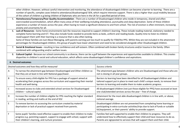|              | other children. However, without careful intervention and monitoring, the attendance of disadvantaged children can become a barrier to learning. There are a<br>number of specific, complex cases linked to attendance/disadvantaged/ SEN, which require intensive support. There is also a higher than usual mobility because<br>of the cohort of children e.g being children of Diplomats who are here in the UK for a specified period of time.                                                                                                                                                                                                                                                                                   |                                                                                                                                                                                                                                              |  |  |  |  |  |
|--------------|--------------------------------------------------------------------------------------------------------------------------------------------------------------------------------------------------------------------------------------------------------------------------------------------------------------------------------------------------------------------------------------------------------------------------------------------------------------------------------------------------------------------------------------------------------------------------------------------------------------------------------------------------------------------------------------------------------------------------------------|----------------------------------------------------------------------------------------------------------------------------------------------------------------------------------------------------------------------------------------------|--|--|--|--|--|
|              | 5. Homelessness/Temporary/Poor Quality Accommodation - There are a number of Disadvantaged children who reside in temporary, shared and often<br>overcrowded accommodation, which affect many areas of their wellbeing including attendance, punctuality and sleep deprivation. Some of these children<br>experience a number of moves across the year, often having to travel a significant distance to and from school. The risk of eviction is often imminent, increasing<br>anxiety and uncertainty for all.                                                                                                                                                                                                                     |                                                                                                                                                                                                                                              |  |  |  |  |  |
|              | 6. Lack of Resources - Some home environments lack the resources required to support children's learning. These include reading material, stationery needed to<br>complete home learning and ICT. They also include funds needed to provide items as beds, uniform and reading books. Quality time to listen to children<br>read/support them with their learning is a resource that is also often lacking.<br>Some of these families are Just About Managing, with parents earning just too much to qualify for FSM/the PPG. Whilst they are not included in the attainment<br>percentages for Disadvantaged children, this group of pupils have lower attainment and need to be considered alongside other Disadvantaged children. |                                                                                                                                                                                                                                              |  |  |  |  |  |
|              | 7. Social & Emotional Issues - resulting in low confidence and self-esteem. Often combined with broken family structures and/or trauma in the family. Often<br>combined with safeguarding and/or welfare issues.                                                                                                                                                                                                                                                                                                                                                                                                                                                                                                                     |                                                                                                                                                                                                                                              |  |  |  |  |  |
| 8.           | disparities in children's social and cultural education, which affects some disadvantaged children's confidence and aspirations.                                                                                                                                                                                                                                                                                                                                                                                                                                                                                                                                                                                                     | Cultural Capital - Because our school community is so diverse, there can be a gulf between the experiences and opportunities available to children. This creates                                                                             |  |  |  |  |  |
|              | 4. Desired outcomes                                                                                                                                                                                                                                                                                                                                                                                                                                                                                                                                                                                                                                                                                                                  |                                                                                                                                                                                                                                              |  |  |  |  |  |
|              | Desired outcomes and how they will be measured                                                                                                                                                                                                                                                                                                                                                                                                                                                                                                                                                                                                                                                                                       | Success criteria                                                                                                                                                                                                                             |  |  |  |  |  |
| A            | To narrow the attainment gap between Disadvantaged and Other children so<br>that they are at least in line with National gaps/lower.                                                                                                                                                                                                                                                                                                                                                                                                                                                                                                                                                                                                 | The attainment gap between children who are Disadvantaged and those who are<br>not is closing in all year groups.                                                                                                                            |  |  |  |  |  |
| B            | To ensure every child eligible for PPG has a package of support aimed at<br>accelerating their progress across the curriculum and supporting their mental<br>health and well-being.                                                                                                                                                                                                                                                                                                                                                                                                                                                                                                                                                  | Barriers to learning have been identified for all Disadvantaged children and<br>tailored support put in place to meet each child's unique needs, to remove their<br>barriers to learning and enable them to make academic progress.          |  |  |  |  |  |
| $\mathsf{C}$ | Increased access to clubs and extended school services for Disadvantaged<br>children - cultural capital.                                                                                                                                                                                                                                                                                                                                                                                                                                                                                                                                                                                                                             | All disadvantaged children (not just those eligible for PPG) have accessed at least<br>one club/extended services across the year - free of charge.                                                                                          |  |  |  |  |  |
| D            | Increase the number of children eligible for PPG reaching the higher standard<br>in reading, writing and maths at the end of KS2                                                                                                                                                                                                                                                                                                                                                                                                                                                                                                                                                                                                     | Attainment for the most able disadvantaged children is in line with, or above,<br>national average.                                                                                                                                          |  |  |  |  |  |
| $\mathsf E$  | To remove barriers to accessing the curriculum created by material<br>deprivation or lack of practical support received from parents.                                                                                                                                                                                                                                                                                                                                                                                                                                                                                                                                                                                                | Disadvantaged children are not prevented from completing home learning or<br>participating in extra-curricular activities/trips due to lack of funds or suitable<br>kit/equipment, or their parents' ability to provide support.             |  |  |  |  |  |
| $\mathsf F$  | Some pupils' families need effective support to enable their children to make<br>progress e.g. parenting support, support to engage with school, support with<br>their children's learning, and nurture provision.                                                                                                                                                                                                                                                                                                                                                                                                                                                                                                                   | Families feel well supported to enable their children to progress. They will<br>understand how to effectively support their child and have resources to do so.<br>Parents are signposted to services that will support them and their child. |  |  |  |  |  |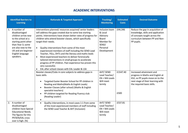### **ACADEMIC INTERVENTIONS**

| <b>Identified Barriers to</b><br><b>Learning</b>                                                                                                                                                         | <b>Rationale &amp; Targeted Approach</b>                                                                                                                                                                                                                                                                                                                                                                                                                                                                                                                                                                                                                                                                                                                                               | Tracking/<br><b>Monitoring</b>                                                                                       | <b>Estimated</b><br><b>Costs</b> | <b>Desired Outcome</b>                                                                                                                                                             |
|----------------------------------------------------------------------------------------------------------------------------------------------------------------------------------------------------------|----------------------------------------------------------------------------------------------------------------------------------------------------------------------------------------------------------------------------------------------------------------------------------------------------------------------------------------------------------------------------------------------------------------------------------------------------------------------------------------------------------------------------------------------------------------------------------------------------------------------------------------------------------------------------------------------------------------------------------------------------------------------------------------|----------------------------------------------------------------------------------------------------------------------|----------------------------------|------------------------------------------------------------------------------------------------------------------------------------------------------------------------------------|
| 1. A number of<br>disadvantaged<br>children arrive new<br>to the school at a<br>starting point other<br>than Year 3; some<br>are also new to the<br>UK and are beginner<br>English language<br>speakers. | Interventions planned/resources acquired/senior leaders<br>will address the gaps created due to some low starting<br>points. Interventions have shown better rates of progress for<br>children who attend booster classes, which specifically<br>target their needs.<br>Quality interventions from some of the most<br>$\bullet$<br>experienced members of staff including the SEND Lead<br>Teacher, YGLs, DHTs and the literacy and maths leads<br>Most experienced teachers to deliver forensically<br>$\bullet$<br>tailored interventions in small groups to accelerate<br>progress of PP children. Past experience has proven this<br>very successful.<br>EAL after school classes with EAL Leader & LSA<br>$\bullet$<br>Booster classes/Clubs in core subjects to address gaps in | Inclusion team<br>& Local<br>Advisory<br><b>Board</b><br>Member for<br>SEND/<br>Personal<br>Development<br>AHT/ SEND | £44,346<br>£1547.40              | Reduce the gap in acquisition of<br>knowledge, skills and application<br>of concepts taught across the<br>curriculum between PP and Non-<br>PP pupils.<br>Increased attainment and |
|                                                                                                                                                                                                          | basic skills<br>Targeted Easter Booster School for PP children in<br>٠<br>Reading and Maths (Maths & English Leads)<br>Booster Classes (after school) (Maths & English<br>$\bullet$<br>specialist teachers)<br>PP children targeted for Reading Fluency club<br>$\bullet$<br>(Reading Leader)<br>$\bullet$                                                                                                                                                                                                                                                                                                                                                                                                                                                                             | Lead Teacher/<br>EN + MA Leads<br>Will meet<br>termly                                                                | £500                             | progress in Maths and English at<br>KS2, so PP pupils move on to the<br>next stage of their learning with<br>the required basic skills.                                            |
| 2. A number of<br>disadvantaged<br>children have Special<br><b>Educational Needs.</b><br>The figures for this<br>PP/SEN/EAL cross<br>over is high. (%)                                                   | Quality interventions, in most cases 1:1 from some<br>$\bullet$<br>of the most experienced members of staff including<br>the SEND Lead Teacher & AHT (Inclusion)                                                                                                                                                                                                                                                                                                                                                                                                                                                                                                                                                                                                                       | AHT/ SEND<br>Lead Teacher/<br>EN + MA Leads<br>Will meet<br>termly                                                   | £537.81                          |                                                                                                                                                                                    |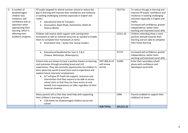| 3. A number of<br>disadvantaged<br>children lack<br>resilience, self-<br>confidence and co-<br>operation when<br>approaching their<br>learning, which is | PP pupils targeted to attend summer school to reduce the<br>gap in learning and improve their confidence and resilience<br>in tackling challenging activities especially in English and<br>maths.<br><b>Educational Visits &amp; Transport</b><br>(Evacuation, Book Week, Pantomime, Maths &<br>Science Week)                                                                                                                                                                                                                        |                                        | £537.81    | To reduce the gap in learning and<br>improve PP pupils' confidence and<br>resilience in tackling challenging<br>activities especially in English and<br>maths.<br>Increased self-confidence, greater<br>independence, better team<br>working and improved social skills |
|----------------------------------------------------------------------------------------------------------------------------------------------------------|--------------------------------------------------------------------------------------------------------------------------------------------------------------------------------------------------------------------------------------------------------------------------------------------------------------------------------------------------------------------------------------------------------------------------------------------------------------------------------------------------------------------------------------|----------------------------------------|------------|-------------------------------------------------------------------------------------------------------------------------------------------------------------------------------------------------------------------------------------------------------------------------|
| affecting their<br>academic progress.                                                                                                                    | Children will receive adult support with starting their<br>homework as well as material resources as needed to enable<br>them to complete their homework at home.<br>Homework Club - led by Year Group Leaders                                                                                                                                                                                                                                                                                                                       |                                        | £2311.20   | Children attending show a more<br>positive attitude towards their<br>learning and are able to complete<br>their home learning                                                                                                                                           |
|                                                                                                                                                          | Educational Residential for Year 4, 5 & 6<br>(Downe, Belchamps, Watersports)                                                                                                                                                                                                                                                                                                                                                                                                                                                         |                                        | £1715      | Increased self-confidence, greater<br>independence, better team<br>working and improved social skills                                                                                                                                                                   |
|                                                                                                                                                          | School visits are shown to have a positive impact on learning<br>and outcomes through providing broad and rich<br>experiences. They also promote opportunities for children to<br>learn about the world around them and to experience and<br>explore future interests/employment.<br>SLT will give PP Pupils the support, resources and<br>intervention that they require to be able to access<br>school visits so that they can have access to and<br>benefit from experiences on offer regardless of their<br>financial situation. | DHT (BA) & HT<br>will review<br>termly | £1000      | Enter their secondary school<br>phase with confidence and<br>developed social skills                                                                                                                                                                                    |
|                                                                                                                                                          | Many parents tell us that they need help with supporting<br>their children's learning at home.<br>CGP books for disadvantaged children across the<br>school                                                                                                                                                                                                                                                                                                                                                                          |                                        | £996       | Parents enabled to support their<br>child(ren) at home                                                                                                                                                                                                                  |
|                                                                                                                                                          |                                                                                                                                                                                                                                                                                                                                                                                                                                                                                                                                      | <b>SUB TOTAL</b>                       | £53,521.22 |                                                                                                                                                                                                                                                                         |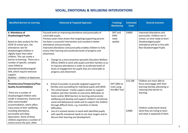# **SOCIAL, EMOTIONAL & WELLBEING INTERVENTIONS**

| <b>Identified Barriers to Learning</b>                                                                                                                                                                                                                                                                                                                                                                                           | <b>Rationale &amp; Targeted Approach</b>                                                                                                                                                                                                                                                                                                                                                                                                                                                                                                                                                                                                                                                    | Tracking/<br><b>Monitoring</b>              | <b>Estimated</b><br><b>Costs</b> | <b>Desired outcome</b>                                                                                                                                                                                                               |
|----------------------------------------------------------------------------------------------------------------------------------------------------------------------------------------------------------------------------------------------------------------------------------------------------------------------------------------------------------------------------------------------------------------------------------|---------------------------------------------------------------------------------------------------------------------------------------------------------------------------------------------------------------------------------------------------------------------------------------------------------------------------------------------------------------------------------------------------------------------------------------------------------------------------------------------------------------------------------------------------------------------------------------------------------------------------------------------------------------------------------------------|---------------------------------------------|----------------------------------|--------------------------------------------------------------------------------------------------------------------------------------------------------------------------------------------------------------------------------------|
| 4. Attendance of<br><b>Disadvantaged Pupils</b><br>Based on data analysis for the<br>2018-19 school year, the<br>attendance rate for<br>disadvantaged children is<br>slightly lower than other<br>children. This can create a<br>barrier to learning. There are a<br>number of specific, complex<br>cases linked to<br>attendance/disadvantaged/<br>SEN, which require intensive<br>support.<br>Mobility - children of diplomats | Focused work on improving attendance and punctuality of<br>vulnerable pupils.<br>Previous years have shown that targeting/supporting parents<br>has been a successful intervention and resulted in better<br>attendance and punctuality.<br>Improved attendance and punctuality enables children to fully<br>access their learning and accelerate levels of progress and<br>attainment.<br>Change to a more proactive specialist Education Welfare<br>$\bullet$<br>Officer (EWO) to work with pupils and their families so as<br>to improve attendance in order to accelerate levels of<br>levels of engagement for pupils that are vulnerable to<br>progress and attainment.               | DHT and<br><b>EWO</b><br>meet<br>weekly     | £4600                            | Improved attendance and<br>punctuality. Children are in<br>school, on time ready to learn<br>Disadvantaged pupils'<br>attendance will be in line with<br>Non-Disadvantaged Pupils                                                    |
| 5.<br>Homelessness/Temporary/Poor<br><b>Quality Accommodation</b><br>There are a number of<br>Disadvantaged children who<br>reside in temporary, shared and<br>often overcrowded<br>accommodation, which affect<br>many areas of their wellbeing<br>including attendance,<br>punctuality and sleep<br>deprivation. Some of these<br>children experience a number of<br>moves across the year, often                              | School Counsellor to provide targeted support for<br>$\bullet$<br>families and counselling for individual pupils with BESD<br>The school based - Family support worker to support<br>$\bullet$<br>children and their families to overcome difficulties at<br>home and/or BESD barriers to learning and promote<br>wellbeing and develop and support children's emotional,<br>social and behavioural needs and to support the children<br>through difficult times, e.g. transition or family<br>difficulties.<br>Use of a trained mentor to work with identified pupils<br>$\bullet$<br>with specific emotional needs to set clear targets and to<br>discuss their learning and development. | DHT ((BA) to<br>track using<br>the B&V Tool | £15,188<br>£2000                 | Children are more able to<br>focus and engage with their<br>learning thereby alleviating or<br>reducing that barrier to<br>learning.<br>Children understand clearly<br>what they are trying to learn<br>and what is expected of them |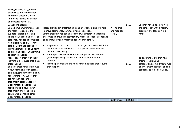| having to travel a significant<br>distance to and from school.<br>The risk of eviction is often<br>imminent, increasing anxiety<br>and uncertainty for all.                                                                                                                                                                                                                                                                                                                                                                                                                                                                                                                                                                                                                                      |                                                                                                                                                                                                                                                                                                                                                                                                                                                                                                                                                                                                                                                                                                                   |                                       |              |                                                                                                                                                                                                                                                                        |
|--------------------------------------------------------------------------------------------------------------------------------------------------------------------------------------------------------------------------------------------------------------------------------------------------------------------------------------------------------------------------------------------------------------------------------------------------------------------------------------------------------------------------------------------------------------------------------------------------------------------------------------------------------------------------------------------------------------------------------------------------------------------------------------------------|-------------------------------------------------------------------------------------------------------------------------------------------------------------------------------------------------------------------------------------------------------------------------------------------------------------------------------------------------------------------------------------------------------------------------------------------------------------------------------------------------------------------------------------------------------------------------------------------------------------------------------------------------------------------------------------------------------------------|---------------------------------------|--------------|------------------------------------------------------------------------------------------------------------------------------------------------------------------------------------------------------------------------------------------------------------------------|
| 6. Lack of Resources -<br>Some home environments lack<br>the resources required to<br>support children's learning.<br>These include reading material,<br>stationery needed to complete<br>home learning and ICT. They<br>also include funds needed to<br>provide items as beds, uniform<br>and reading books. Quality time<br>to listen to children<br>read/support them with their<br>learning is a resource that is also<br>often lacking.<br>Some of these families are Just<br>About Managing, with parents<br>earning just too much to qualify<br>for FSM/the PPG. Whilst they<br>are not included in the<br>attainment percentages for<br>Disadvantaged children, this<br>group of pupils have lower<br>attainment and need to be<br>considered alongside other<br>Disadvantaged children. | Places provided in breakfast club and after school club will help<br>improve attendance, punctuality and social skills.<br>Eating breakfast has been associated with improved academic<br>outcomes, improved concentration, increased school attendance<br>and punctuality and improved behaviour at school.<br>Targeted places at breakfast club and/or after school club for<br>children/families who need it to improve attendance and<br>attitudes to learning<br>Where possible provide uniform and personal care items<br>$\bullet$<br>(including clothing for trips/ residentials) for vulnerable<br>Children<br>Provide personal hygiene items for some pupils that require<br>$\bullet$<br>that support. | AHT to track<br>and monitor<br>termly | £600<br>£500 | Children have a good start to<br>the school day with a healthy<br>breakfast and take part in a<br>range<br>To ensure that children have<br>their protection and<br>safeguarding commitments met<br>of enrichment activities and be<br>confident to join in activities. |
|                                                                                                                                                                                                                                                                                                                                                                                                                                                                                                                                                                                                                                                                                                                                                                                                  |                                                                                                                                                                                                                                                                                                                                                                                                                                                                                                                                                                                                                                                                                                                   | <b>SUB TOTAL:</b>                     | £22,388      |                                                                                                                                                                                                                                                                        |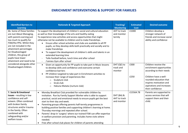## **ENRICHMENT INTERVENTIONS & SUPPORT FOR FAMILIES**

| <b>Identified Barriers to</b><br><b>Learning</b>                                                                                                                                                                                                                                                  | <b>Rationale &amp; Targeted Approach</b>                                                                                                                                                                                                                                                                                                                                                                                                                                                                                                                                                                                                                                                    | Tracking/<br><b>Monitoring</b>            | <b>Estimated</b><br><b>Cost</b> | <b>Desired outcome</b>                                                                                                                                                                                      |
|---------------------------------------------------------------------------------------------------------------------------------------------------------------------------------------------------------------------------------------------------------------------------------------------------|---------------------------------------------------------------------------------------------------------------------------------------------------------------------------------------------------------------------------------------------------------------------------------------------------------------------------------------------------------------------------------------------------------------------------------------------------------------------------------------------------------------------------------------------------------------------------------------------------------------------------------------------------------------------------------------------|-------------------------------------------|---------------------------------|-------------------------------------------------------------------------------------------------------------------------------------------------------------------------------------------------------------|
| 6b. Some of these families<br>are Just About Managing,<br>with parents earning just<br>too much to qualify for<br>FSM/the PPG. Whilst they<br>are not included in the<br>attainment percentages<br>for Disadvantaged<br>children, this group of<br>pupils have lower<br>attainment and need to be | To support the development of children's social and cultural education<br>as well as their knowledge of the arts and healthy eating<br>To experience new activities and access opportunities that might<br>otherwise not be available to children and to make friendships.<br>Ensure after school activities and clubs are available to all PP<br>$\bullet$<br>pupils, so they develop skills both practically and socially and to<br>make friendships<br>To support the development of children's skills and talents in an<br>extended learning time<br>Tollo football before, lunch time and after school<br>J'aimies Gym after school                                                    | AHT to track<br>and monitor<br>termly     | £1000                           | Children develop a<br>stronger network of<br>friends and increase social<br>ability and confidence                                                                                                          |
| considered alongside other<br>Disadvantaged children.                                                                                                                                                                                                                                             | Given an opportunity for PP pupils to take part in Music lessons<br>$\bullet$<br>to develop skills and confidence and overcome certain<br>confidence barriers<br>PP children targeted to take part in Enrichment activities to<br>increase their range of experiences like:<br>Sculpture club<br>$\circ$<br>Grub club<br>$\circ$<br>Hakuna Matata (nurture club)<br>$\circ$                                                                                                                                                                                                                                                                                                                 | DHT (QE) to<br>track and<br>monitor       | £300<br>£250                    | Children receive the<br>enrichment opportunities<br>according to their needs<br>Children have a well-<br>rounded education that<br>inspires motivation and<br>aspirations and increases<br>their confidence |
| 7. Social & Emotional<br>Issues - resulting in low<br>confidence and self-<br>esteem. Often combined<br>with broken family<br>structures and/or trauma<br>in the family. Often<br>combined with<br>safeguarding and/or<br>welfare issues.                                                         | Monday Breakfast Club provided for vulnerable children by<br>$\bullet$<br>invitation. Run by Family Support Worker who is able to support<br>practical, social and emotional needs to ensure pupils get the best<br>start to their day and week.<br>Parenting groups offering parents half-termly programmes in<br>$\bullet$<br>building positive families and supporting children's learning at home.<br>Thursday mornings and repeated after school.<br>Parents' drop-in 'surgery' where our trained FSW can offer expertise<br>in welfare provision and parenting. Includes home visits where<br>needed.<br>Free after-school club places for children of parents attending<br>$\bullet$ | DHT (BA) &<br>AHT to track<br>and monitor | £15564.78                       | Parents are supported to<br>access services that will<br>support them and their<br>child.                                                                                                                   |